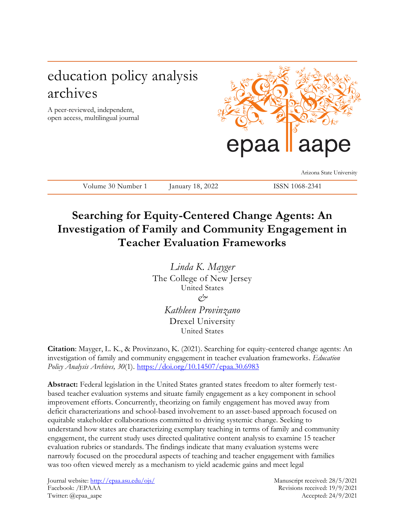# education policy analysis archives

A peer-reviewed, independent, open access, multilingual journal



Arizona State University

Volume 30 Number 1 January 18, 2022 ISSN 1068-2341

# **Searching for Equity-Centered Change Agents: An Investigation of Family and Community Engagement in Teacher Evaluation Frameworks**

*Linda K. Mayger* The College of New Jersey United States *& Kathleen Provinzano*  Drexel University United States

**Citation**: Mayger, L. K., & Provinzano, K. (2021). Searching for equity-centered change agents: An investigation of family and community engagement in teacher evaluation frameworks. *Education Policy Analysis Archives, 30*(1). <https://doi.org/10.14507/epaa.30.6983>

**Abstract:** Federal legislation in the United States granted states freedom to alter formerly testbased teacher evaluation systems and situate family engagement as a key component in school improvement efforts. Concurrently, theorizing on family engagement has moved away from deficit characterizations and school-based involvement to an asset-based approach focused on equitable stakeholder collaborations committed to driving systemic change. Seeking to understand how states are characterizing exemplary teaching in terms of family and community engagement, the current study uses directed qualitative content analysis to examine 15 teacher evaluation rubrics or standards. The findings indicate that many evaluation systems were narrowly focused on the procedural aspects of teaching and teacher engagement with families was too often viewed merely as a mechanism to yield academic gains and meet legal

Journal website[: http://epaa.asu.edu/ojs/](http://epaa.asu.edu/ojs/) Manuscript received: 28/5/2021 Facebook: /EPAAA Revisions received: 19/9/2021 Twitter: @epaa\_aape Accepted: 24/9/2021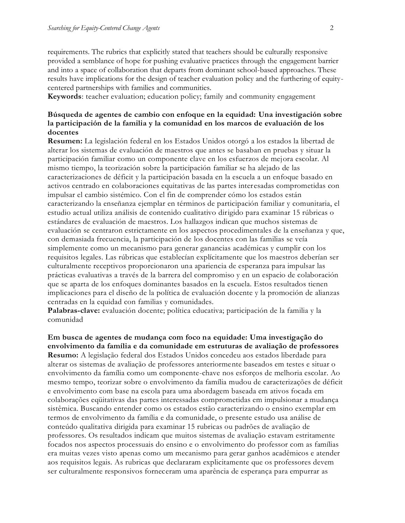requirements. The rubrics that explicitly stated that teachers should be culturally responsive provided a semblance of hope for pushing evaluative practices through the engagement barrier and into a space of collaboration that departs from dominant school-based approaches. These results have implications for the design of teacher evaluation policy and the furthering of equitycentered partnerships with families and communities.

**Keywords**: teacher evaluation; education policy; family and community engagement

### **Búsqueda de agentes de cambio con enfoque en la equidad: Una investigación sobre la participación de la familia y la comunidad en los marcos de evaluación de los docentes**

**Resumen:** La legislación federal en los Estados Unidos otorgó a los estados la libertad de alterar los sistemas de evaluación de maestros que antes se basaban en pruebas y situar la participación familiar como un componente clave en los esfuerzos de mejora escolar. Al mismo tiempo, la teorización sobre la participación familiar se ha alejado de las caracterizaciones de déficit y la participación basada en la escuela a un enfoque basado en activos centrado en colaboraciones equitativas de las partes interesadas comprometidas con impulsar el cambio sistémico. Con el fin de comprender cómo los estados están caracterizando la enseñanza ejemplar en términos de participación familiar y comunitaria, el estudio actual utiliza análisis de contenido cualitativo dirigido para examinar 15 rúbricas o estándares de evaluación de maestros. Los hallazgos indican que muchos sistemas de evaluación se centraron estrictamente en los aspectos procedimentales de la enseñanza y que, con demasiada frecuencia, la participación de los docentes con las familias se veía simplemente como un mecanismo para generar ganancias académicas y cumplir con los requisitos legales. Las rúbricas que establecían explícitamente que los maestros deberían ser culturalmente receptivos proporcionaron una apariencia de esperanza para impulsar las prácticas evaluativas a través de la barrera del compromiso y en un espacio de colaboración que se aparta de los enfoques dominantes basados en la escuela. Estos resultados tienen implicaciones para el diseño de la política de evaluación docente y la promoción de alianzas centradas en la equidad con familias y comunidades.

**Palabras-clave:** evaluación docente; política educativa; participación de la familia y la comunidad

**Em busca de agentes de mudança com foco na equidade: Uma investigação do envolvimento da família e da comunidade em estruturas de avaliação de professores Resumo:** A legislação federal dos Estados Unidos concedeu aos estados liberdade para alterar os sistemas de avaliação de professores anteriormente baseados em testes e situar o envolvimento da família como um componente-chave nos esforços de melhoria escolar. Ao mesmo tempo, teorizar sobre o envolvimento da família mudou de caracterizações de déficit e envolvimento com base na escola para uma abordagem baseada em ativos focada em colaborações eqüitativas das partes interessadas comprometidas em impulsionar a mudança sistêmica. Buscando entender como os estados estão caracterizando o ensino exemplar em termos de envolvimento da família e da comunidade, o presente estudo usa análise de conteúdo qualitativa dirigida para examinar 15 rubricas ou padrões de avaliação de professores. Os resultados indicam que muitos sistemas de avaliação estavam estritamente focados nos aspectos processuais do ensino e o envolvimento do professor com as famílias era muitas vezes visto apenas como um mecanismo para gerar ganhos acadêmicos e atender aos requisitos legais. As rubricas que declararam explicitamente que os professores devem ser culturalmente responsivos forneceram uma aparência de esperança para empurrar as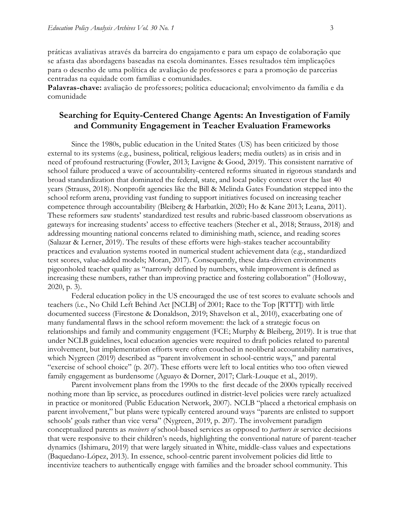práticas avaliativas através da barreira do engajamento e para um espaço de colaboração que se afasta das abordagens baseadas na escola dominantes. Esses resultados têm implicações para o desenho de uma política de avaliação de professores e para a promoção de parcerias centradas na equidade com famílias e comunidades.

**Palavras-chave:** avaliação de professores; política educacional; envolvimento da família e da comunidade

### **Searching for Equity-Centered Change Agents: An Investigation of Family and Community Engagement in Teacher Evaluation Frameworks**

Since the 1980s, public education in the United States (US) has been criticized by those external to its systems (e.g., business, political, religious leaders; media outlets) as in crisis and in need of profound restructuring (Fowler, 2013; Lavigne & Good, 2019). This consistent narrative of school failure produced a wave of accountability-centered reforms situated in rigorous standards and broad standardization that dominated the federal, state, and local policy context over the last 40 years (Strauss, 2018). Nonprofit agencies like the Bill & Melinda Gates Foundation stepped into the school reform arena, providing vast funding to support initiatives focused on increasing teacher competence through accountability (Bleiberg & Harbatkin, 2020; Ho & Kane 2013; Leana, 2011). These reformers saw students' standardized test results and rubric-based classroom observations as gateways for increasing students' access to effective teachers (Stecher et al., 2018; Strauss, 2018) and addressing mounting national concerns related to diminishing math, science, and reading scores (Salazar & Lerner, 2019). The results of these efforts were high-stakes teacher accountability practices and evaluation systems rooted in numerical student achievement data (e.g., standardized test scores, value-added models; Moran, 2017). Consequently, these data-driven environments pigeonholed teacher quality as "narrowly defined by numbers, while improvement is defined as increasing these numbers, rather than improving practice and fostering collaboration" (Holloway, 2020, p. 3).

Federal education policy in the US encouraged the use of test scores to evaluate schools and teachers (i.e., No Child Left Behind Act [NCLB] of 2001; Race to the Top [RTTT]) with little documented success (Firestone & Donaldson, 2019; Shavelson et al., 2010), exacerbating one of many fundamental flaws in the school reform movement: the lack of a strategic focus on relationships and family and community engagement (FCE; Murphy & Bleiberg, 2019). It is true that under NCLB guidelines, local education agencies were required to draft policies related to parental involvement, but implementation efforts were often couched in neoliberal accountability narratives, which Nygreen (2019) described as "parent involvement in school-centric ways," and parental "exercise of school choice" (p. 207). These efforts were left to local entities who too often viewed family engagement as burdensome (Aguayo & Dorner, 2017; Clark-Louque et al., 2019).

Parent involvement plans from the 1990s to the first decade of the 2000s typically received nothing more than lip service, as procedures outlined in district-level policies were rarely actualized in practice or monitored (Public Education Network, 2007). NCLB "placed a rhetorical emphasis on parent involvement," but plans were typically centered around ways "parents are enlisted to support schools' goals rather than vice versa" (Nygreen, 2019, p. 207). The involvement paradigm conceptualized parents as *receivers of* school-based services as opposed to *partners in* service decisions that were responsive to their children's needs, highlighting the conventional nature of parent-teacher dynamics (Ishimaru, 2019) that were largely situated in White, middle-class values and expectations (Baquedano-López, 2013). In essence, school-centric parent involvement policies did little to incentivize teachers to authentically engage with families and the broader school community. This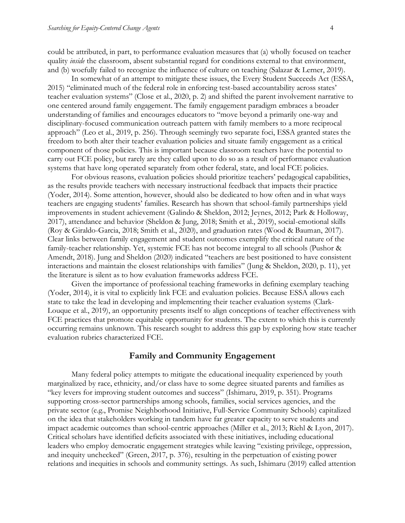could be attributed, in part, to performance evaluation measures that (a) wholly focused on teacher quality *inside* the classroom, absent substantial regard for conditions external to that environment, and (b) woefully failed to recognize the influence of culture on teaching (Salazar & Lerner, 2019).

In somewhat of an attempt to mitigate these issues, the Every Student Succeeds Act (ESSA, 2015) "eliminated much of the federal role in enforcing test-based accountability across states' teacher evaluation systems" (Close et al., 2020, p. 2) and shifted the parent involvement narrative to one centered around family engagement. The family engagement paradigm embraces a broader understanding of families and encourages educators to "move beyond a primarily one-way and disciplinary-focused communication outreach pattern with family members to a more reciprocal approach" (Leo et al., 2019, p. 256). Through seemingly two separate foci, ESSA granted states the freedom to both alter their teacher evaluation policies and situate family engagement as a critical component of those policies. This is important because classroom teachers have the potential to carry out FCE policy, but rarely are they called upon to do so as a result of performance evaluation systems that have long operated separately from other federal, state, and local FCE policies.

For obvious reasons, evaluation policies should prioritize teachers' pedagogical capabilities, as the results provide teachers with necessary instructional feedback that impacts their practice (Yoder, 2014). Some attention, however, should also be dedicated to how often and in what ways teachers are engaging students' families. Research has shown that school-family partnerships yield improvements in student achievement (Galindo & Sheldon, 2012; Jeynes, 2012; Park & Holloway, 2017), attendance and behavior (Sheldon & Jung, 2018; Smith et al., 2019), social-emotional skills (Roy & Giraldo-Garcia, 2018; Smith et al., 2020), and graduation rates (Wood & Bauman, 2017). Clear links between family engagement and student outcomes exemplify the critical nature of the family-teacher relationship. Yet, systemic FCE has not become integral to all schools (Pushor & Amendt, 2018). Jung and Sheldon (2020) indicated "teachers are best positioned to have consistent interactions and maintain the closest relationships with families" (Jung & Sheldon, 2020, p. 11), yet the literature is silent as to how evaluation frameworks address FCE.

Given the importance of professional teaching frameworks in defining exemplary teaching (Yoder, 2014), it is vital to explicitly link FCE and evaluation policies. Because ESSA allows each state to take the lead in developing and implementing their teacher evaluation systems (Clark-Louque et al., 2019), an opportunity presents itself to align conceptions of teacher effectiveness with FCE practices that promote equitable opportunity for students. The extent to which this is currently occurring remains unknown. This research sought to address this gap by exploring how state teacher evaluation rubrics characterized FCE.

#### **Family and Community Engagement**

Many federal policy attempts to mitigate the educational inequality experienced by youth marginalized by race, ethnicity, and/or class have to some degree situated parents and families as "key levers for improving student outcomes and success" (Ishimaru, 2019, p. 351). Programs supporting cross-sector partnerships among schools, families, social services agencies, and the private sector (e.g., Promise Neighborhood Initiative, Full-Service Community Schools) capitalized on the idea that stakeholders working in tandem have far greater capacity to serve students and impact academic outcomes than school-centric approaches (Miller et al., 2013; Riehl & Lyon, 2017). Critical scholars have identified deficits associated with these initiatives, including educational leaders who employ democratic engagement strategies while leaving "existing privilege, oppression, and inequity unchecked" (Green, 2017, p. 376), resulting in the perpetuation of existing power relations and inequities in schools and community settings. As such, Ishimaru (2019) called attention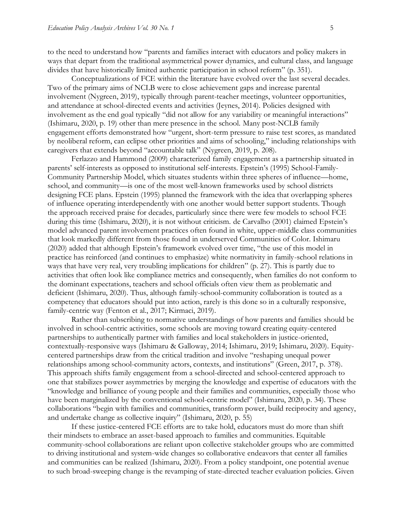to the need to understand how "parents and families interact with educators and policy makers in ways that depart from the traditional asymmetrical power dynamics, and cultural class, and language divides that have historically limited authentic participation in school reform" (p. 351).

Conceptualizations of FCE within the literature have evolved over the last several decades. Two of the primary aims of NCLB were to close achievement gaps and increase parental involvement (Nygreen, 2019), typically through parent-teacher meetings, volunteer opportunities, and attendance at school-directed events and activities (Jeynes, 2014). Policies designed with involvement as the end goal typically "did not allow for any variability or meaningful interactions" (Ishimaru, 2020, p. 19) other than mere presence in the school. Many post-NCLB family engagement efforts demonstrated how "urgent, short-term pressure to raise test scores, as mandated by neoliberal reform, can eclipse other priorities and aims of schooling," including relationships with caregivers that extends beyond "accountable talk" (Nygreen, 2019, p. 208).

Ferlazzo and Hammond (2009) characterized family engagement as a partnership situated in parents' self-interests as opposed to institutional self-interests. Epstein's (1995) School-Family-Community Partnership Model, which situates students within three spheres of influence—home, school, and community—is one of the most well-known frameworks used by school districts designing FCE plans. Epstein (1995) planned the framework with the idea that overlapping spheres of influence operating interdependently with one another would better support students. Though the approach received praise for decades, particularly since there were few models to school FCE during this time (Ishimaru, 2020), it is not without criticism. de Carvalho (2001) claimed Epstein's model advanced parent involvement practices often found in white, upper-middle class communities that look markedly different from those found in underserved Communities of Color. Ishimaru (2020) added that although Epstein's framework evolved over time, "the use of this model in practice has reinforced (and continues to emphasize) white normativity in family-school relations in ways that have very real, very troubling implications for children" (p. 27). This is partly due to activities that often look like compliance metrics and consequently, when families do not conform to the dominant expectations, teachers and school officials often view them as problematic and deficient (Ishimaru, 2020). Thus, although family-school-community collaboration is touted as a competency that educators should put into action, rarely is this done so in a culturally responsive, family-centric way (Fenton et al., 2017; Kirmaci, 2019).

Rather than subscribing to normative understandings of how parents and families should be involved in school-centric activities, some schools are moving toward creating equity-centered partnerships to authentically partner with families and local stakeholders in justice-oriented, contextually-responsive ways (Ishimaru & Galloway, 2014; Ishimaru, 2019; Ishimaru, 2020). Equitycentered partnerships draw from the critical tradition and involve "reshaping unequal power relationships among school-community actors, contexts, and institutions" (Green, 2017, p. 378). This approach shifts family engagement from a school-directed and school-centered approach to one that stabilizes power asymmetries by merging the knowledge and expertise of educators with the "knowledge and brilliance of young people and their families and communities, especially those who have been marginalized by the conventional school-centric model" (Ishimaru, 2020, p. 34). These collaborations "begin with families and communities, transform power, build reciprocity and agency, and undertake change as collective inquiry" (Ishimaru, 2020, p. 55)

If these justice-centered FCE efforts are to take hold, educators must do more than shift their mindsets to embrace an asset-based approach to families and communities. Equitable community-school collaborations are reliant upon collective stakeholder groups who are committed to driving institutional and system-wide changes so collaborative endeavors that center all families and communities can be realized (Ishimaru, 2020). From a policy standpoint, one potential avenue to such broad-sweeping change is the revamping of state-directed teacher evaluation policies. Given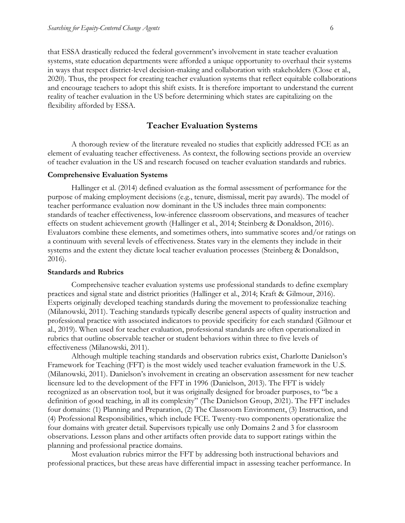that ESSA drastically reduced the federal government's involvement in state teacher evaluation systems, state education departments were afforded a unique opportunity to overhaul their systems in ways that respect district-level decision-making and collaboration with stakeholders (Close et al., 2020). Thus, the prospect for creating teacher evaluation systems that reflect equitable collaborations and encourage teachers to adopt this shift exists. It is therefore important to understand the current reality of teacher evaluation in the US before determining which states are capitalizing on the flexibility afforded by ESSA.

#### **Teacher Evaluation Systems**

A thorough review of the literature revealed no studies that explicitly addressed FCE as an element of evaluating teacher effectiveness. As context, the following sections provide an overview of teacher evaluation in the US and research focused on teacher evaluation standards and rubrics.

#### **Comprehensive Evaluation Systems**

Hallinger et al. (2014) defined evaluation as the formal assessment of performance for the purpose of making employment decisions (e.g., tenure, dismissal, merit pay awards). The model of teacher performance evaluation now dominant in the US includes three main components: standards of teacher effectiveness, low-inference classroom observations, and measures of teacher effects on student achievement growth (Hallinger et al., 2014; Steinberg & Donaldson, 2016). Evaluators combine these elements, and sometimes others, into summative scores and/or ratings on a continuum with several levels of effectiveness. States vary in the elements they include in their systems and the extent they dictate local teacher evaluation processes (Steinberg & Donaldson, 2016).

#### **Standards and Rubrics**

Comprehensive teacher evaluation systems use professional standards to define exemplary practices and signal state and district priorities (Hallinger et al., 2014; Kraft & Gilmour, 2016). Experts originally developed teaching standards during the movement to professionalize teaching (Milanowski, 2011). Teaching standards typically describe general aspects of quality instruction and professional practice with associated indicators to provide specificity for each standard (Gilmour et al., 2019). When used for teacher evaluation, professional standards are often operationalized in rubrics that outline observable teacher or student behaviors within three to five levels of effectiveness (Milanowski, 2011).

Although multiple teaching standards and observation rubrics exist, Charlotte Danielson's Framework for Teaching (FFT) is the most widely used teacher evaluation framework in the U.S. (Milanowski, 2011). Danielson's involvement in creating an observation assessment for new teacher licensure led to the development of the FFT in 1996 (Danielson, 2013). The FFT is widely recognized as an observation tool, but it was originally designed for broader purposes, to "be a definition of good teaching, in all its complexity" (The Danielson Group, 2021). The FFT includes four domains: (1) Planning and Preparation, (2) The Classroom Environment, (3) Instruction, and (4) Professional Responsibilities, which include FCE. Twenty-two components operationalize the four domains with greater detail. Supervisors typically use only Domains 2 and 3 for classroom observations. Lesson plans and other artifacts often provide data to support ratings within the planning and professional practice domains.

Most evaluation rubrics mirror the FFT by addressing both instructional behaviors and professional practices, but these areas have differential impact in assessing teacher performance. In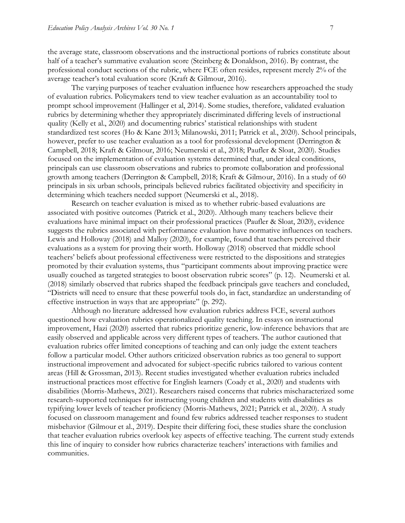the average state, classroom observations and the instructional portions of rubrics constitute about half of a teacher's summative evaluation score (Steinberg & Donaldson, 2016). By contrast, the professional conduct sections of the rubric, where FCE often resides, represent merely 2% of the average teacher's total evaluation score (Kraft & Gilmour, 2016).

The varying purposes of teacher evaluation influence how researchers approached the study of evaluation rubrics. Policymakers tend to view teacher evaluation as an accountability tool to prompt school improvement (Hallinger et al, 2014). Some studies, therefore, validated evaluation rubrics by determining whether they appropriately discriminated differing levels of instructional quality (Kelly et al., 2020) and documenting rubrics' statistical relationships with student standardized test scores (Ho & Kane 2013; Milanowski, 2011; Patrick et al., 2020). School principals, however, prefer to use teacher evaluation as a tool for professional development (Derrington & Campbell, 2018; Kraft & Gilmour, 2016; Neumerski et al., 2018; Paufler & Sloat, 2020). Studies focused on the implementation of evaluation systems determined that, under ideal conditions, principals can use classroom observations and rubrics to promote collaboration and professional growth among teachers (Derrington & Campbell, 2018; Kraft & Gilmour, 2016). In a study of 60 principals in six urban schools, principals believed rubrics facilitated objectivity and specificity in determining which teachers needed support (Neumerski et al., 2018).

Research on teacher evaluation is mixed as to whether rubric-based evaluations are associated with positive outcomes (Patrick et al., 2020). Although many teachers believe their evaluations have minimal impact on their professional practices (Paufler & Sloat, 2020), evidence suggests the rubrics associated with performance evaluation have normative influences on teachers. Lewis and Holloway (2018) and Malloy (2020), for example, found that teachers perceived their evaluations as a system for proving their worth. Holloway (2018) observed that middle school teachers' beliefs about professional effectiveness were restricted to the dispositions and strategies promoted by their evaluation systems, thus "participant comments about improving practice were usually couched as targeted strategies to boost observation rubric scores" (p. 12). Neumerski et al. (2018) similarly observed that rubrics shaped the feedback principals gave teachers and concluded, "Districts will need to ensure that these powerful tools do, in fact, standardize an understanding of effective instruction in ways that are appropriate" (p. 292).

Although no literature addressed how evaluation rubrics address FCE, several authors questioned how evaluation rubrics operationalized quality teaching. In essays on instructional improvement, Hazi (2020) asserted that rubrics prioritize generic, low-inference behaviors that are easily observed and applicable across very different types of teachers. The author cautioned that evaluation rubrics offer limited conceptions of teaching and can only judge the extent teachers follow a particular model. Other authors criticized observation rubrics as too general to support instructional improvement and advocated for subject-specific rubrics tailored to various content areas (Hill & Grossman, 2013). Recent studies investigated whether evaluation rubrics included instructional practices most effective for English learners (Coady et al., 2020) and students with disabilities (Morris-Mathews, 2021). Researchers raised concerns that rubrics mischaracterized some research-supported techniques for instructing young children and students with disabilities as typifying lower levels of teacher proficiency (Morris-Mathews, 2021; Patrick et al., 2020). A study focused on classroom management and found few rubrics addressed teacher responses to student misbehavior (Gilmour et al., 2019). Despite their differing foci, these studies share the conclusion that teacher evaluation rubrics overlook key aspects of effective teaching. The current study extends this line of inquiry to consider how rubrics characterize teachers' interactions with families and communities.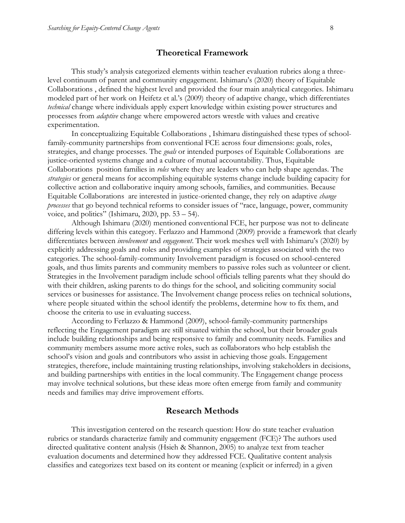#### **Theoretical Framework**

This study's analysis categorized elements within teacher evaluation rubrics along a threelevel continuum of parent and community engagement. Ishimaru's (2020) theory of Equitable Collaborations , defined the highest level and provided the four main analytical categories. Ishimaru modeled part of her work on Heifetz et al.'s (2009) theory of adaptive change, which differentiates *technical* change where individuals apply expert knowledge within existing power structures and processes from *adaptive* change where empowered actors wrestle with values and creative experimentation.

In conceptualizing Equitable Collaborations , Ishimaru distinguished these types of schoolfamily-community partnerships from conventional FCE across four dimensions: goals, roles, strategies, and change processes. The *goals* or intended purposes of Equitable Collaborations are justice-oriented systems change and a culture of mutual accountability. Thus, Equitable Collaborations position families in *roles* where they are leaders who can help shape agendas. The *strategies* or general means for accomplishing equitable systems change include building capacity for collective action and collaborative inquiry among schools, families, and communities. Because Equitable Collaborations are interested in justice-oriented change, they rely on adaptive *change processes* that go beyond technical reforms to consider issues of "race, language, power, community voice, and politics" (Ishimaru,  $2020$ , pp.  $53 - 54$ ).

Although Ishimaru (2020) mentioned conventional FCE, her purpose was not to delineate differing levels within this category. Ferlazzo and Hammond (2009) provide a framework that clearly differentiates between *involvement* and *engagement*. Their work meshes well with Ishimaru's (2020) by explicitly addressing goals and roles and providing examples of strategies associated with the two categories. The school-family-community Involvement paradigm is focused on school-centered goals, and thus limits parents and community members to passive roles such as volunteer or client. Strategies in the Involvement paradigm include school officials telling parents what they should do with their children, asking parents to do things for the school, and soliciting community social services or businesses for assistance. The Involvement change process relies on technical solutions, where people situated within the school identify the problems, determine how to fix them, and choose the criteria to use in evaluating success.

According to Ferlazzo & Hammond (2009), school-family-community partnerships reflecting the Engagement paradigm are still situated within the school, but their broader goals include building relationships and being responsive to family and community needs. Families and community members assume more active roles, such as collaborators who help establish the school's vision and goals and contributors who assist in achieving those goals. Engagement strategies, therefore, include maintaining trusting relationships, involving stakeholders in decisions, and building partnerships with entities in the local community. The Engagement change process may involve technical solutions, but these ideas more often emerge from family and community needs and families may drive improvement efforts.

### **Research Methods**

This investigation centered on the research question: How do state teacher evaluation rubrics or standards characterize family and community engagement (FCE)? The authors used directed qualitative content analysis (Hsieh & Shannon, 2005) to analyze text from teacher evaluation documents and determined how they addressed FCE. Qualitative content analysis classifies and categorizes text based on its content or meaning (explicit or inferred) in a given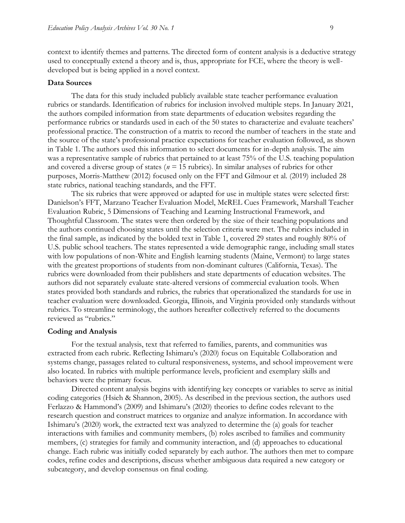context to identify themes and patterns. The directed form of content analysis is a deductive strategy used to conceptually extend a theory and is, thus, appropriate for FCE, where the theory is welldeveloped but is being applied in a novel context.

#### **Data Sources**

The data for this study included publicly available state teacher performance evaluation rubrics or standards. Identification of rubrics for inclusion involved multiple steps. In January 2021, the authors compiled information from state departments of education websites regarding the performance rubrics or standards used in each of the 50 states to characterize and evaluate teachers' professional practice. The construction of a matrix to record the number of teachers in the state and the source of the state's professional practice expectations for teacher evaluation followed, as shown in Table 1. The authors used this information to select documents for in-depth analysis. The aim was a representative sample of rubrics that pertained to at least 75% of the U.S. teaching population and covered a diverse group of states ( $n = 15$  rubrics). In similar analyses of rubrics for other purposes, Morris-Matthew (2012) focused only on the FFT and Gilmour et al. (2019) included 28 state rubrics, national teaching standards, and the FFT.

The six rubrics that were approved or adapted for use in multiple states were selected first: Danielson's FFT, Marzano Teacher Evaluation Model, McREL Cues Framework, Marshall Teacher Evaluation Rubric, 5 Dimensions of Teaching and Learning Instructional Framework, and Thoughtful Classroom. The states were then ordered by the size of their teaching populations and the authors continued choosing states until the selection criteria were met. The rubrics included in the final sample, as indicated by the bolded text in Table 1, covered 29 states and roughly 80% of U.S. public school teachers. The states represented a wide demographic range, including small states with low populations of non-White and English learning students (Maine, Vermont) to large states with the greatest proportions of students from non-dominant cultures (California, Texas). The rubrics were downloaded from their publishers and state departments of education websites. The authors did not separately evaluate state-altered versions of commercial evaluation tools. When states provided both standards and rubrics, the rubrics that operationalized the standards for use in teacher evaluation were downloaded. Georgia, Illinois, and Virginia provided only standards without rubrics. To streamline terminology, the authors hereafter collectively referred to the documents reviewed as "rubrics."

#### **Coding and Analysis**

For the textual analysis, text that referred to families, parents, and communities was extracted from each rubric. Reflecting Ishimaru's (2020) focus on Equitable Collaboration and systems change, passages related to cultural responsiveness, systems, and school improvement were also located. In rubrics with multiple performance levels, proficient and exemplary skills and behaviors were the primary focus.

Directed content analysis begins with identifying key concepts or variables to serve as initial coding categories (Hsieh & Shannon, 2005). As described in the previous section, the authors used Ferlazzo & Hammond's (2009) and Ishimaru's (2020) theories to define codes relevant to the research question and construct matrices to organize and analyze information. In accordance with Ishimaru's (2020) work, the extracted text was analyzed to determine the (a) goals for teacher interactions with families and community members, (b) roles ascribed to families and community members, (c) strategies for family and community interaction, and (d) approaches to educational change. Each rubric was initially coded separately by each author. The authors then met to compare codes, refine codes and descriptions, discuss whether ambiguous data required a new category or subcategory, and develop consensus on final coding.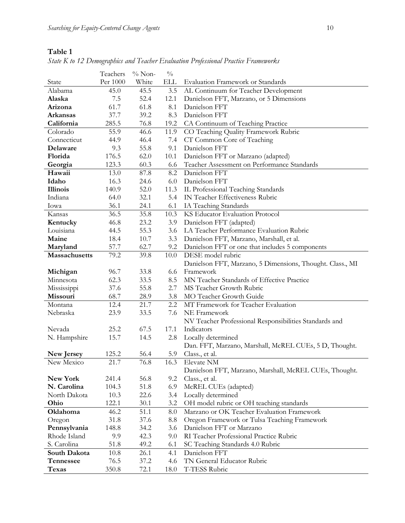|                  | Teachers | $\%$ Non- | $\frac{0}{0}$ |                                                           |  |  |
|------------------|----------|-----------|---------------|-----------------------------------------------------------|--|--|
| State            | Per 1000 | White     | <b>ELL</b>    | Evaluation Framework or Standards                         |  |  |
| Alabama          | 45.0     | 45.5      | 3.5           | AL Continuum for Teacher Development                      |  |  |
| Alaska           | 7.5      | 52.4      | 12.1          | Danielson FFT, Marzano, or 5 Dimensions                   |  |  |
| Arizona          | 61.7     | 61.8      | 8.1           | Danielson FFT                                             |  |  |
| <b>Arkansas</b>  | 37.7     | 39.2      | 8.3           | Danielson FFT                                             |  |  |
| California       | 285.5    | 76.8      | 19.2          | CA Continuum of Teaching Practice                         |  |  |
| Colorado         | 55.9     | 46.6      | 11.9          | CO Teaching Quality Framework Rubric                      |  |  |
| Connecticut      | 44.9     | 46.4      | 7.4           | CT Common Core of Teaching                                |  |  |
| Delaware         | 9.3      | 55.8      | 9.1           | Danielson FFT                                             |  |  |
| Florida          | 176.5    | 62.0      | 10.1          | Danielson FFT or Marzano (adapted)                        |  |  |
| Georgia          | 123.3    | 60.3      | 6.6           | Teacher Assessment on Performance Standards               |  |  |
| Hawaii           | 13.0     | 87.8      | 8.2           | Danielson FFT                                             |  |  |
| Idaho            | 16.3     | 24.6      | 6.0           | Danielson FFT                                             |  |  |
| <b>Illinois</b>  | 140.9    | 52.0      | 11.3          | IL Professional Teaching Standards                        |  |  |
| Indiana          | 64.0     | 32.1      | 5.4           | IN Teacher Effectiveness Rubric                           |  |  |
| Iowa             | 36.1     | 24.1      | 6.1           | IA Teaching Standards                                     |  |  |
| Kansas           | 36.5     | 35.8      | 10.3          | KS Educator Evaluation Protocol                           |  |  |
| Kentucky         | 46.8     | 23.2      | 3.9           | Danielson FFT (adapted)                                   |  |  |
| Louisiana        | 44.5     | 55.3      | 3.6           | LA Teacher Performance Evaluation Rubric                  |  |  |
| Maine            | 18.4     | 10.7      | 3.3           | Danielson FFT, Marzano, Marshall, et al.                  |  |  |
| Maryland         | 57.7     | 62.7      | 9.2           | Danielson FFT or one that includes 5 components           |  |  |
| Massachusetts    | 79.2     | 39.8      | 10.0          | DESE model rubric                                         |  |  |
|                  |          |           |               | Danielson FFT, Marzano, 5 Dimensions, Thought. Class., MI |  |  |
| Michigan         | 96.7     | 33.8      | 6.6           | Framework                                                 |  |  |
| Minnesota        | 62.3     | 33.5      | 8.5           | MN Teacher Standards of Effective Practice                |  |  |
| Mississippi      | 37.6     | 55.8      | 2.7           | MS Teacher Growth Rubric                                  |  |  |
| Missouri         | 68.7     | 28.9      | 3.8           | MO Teacher Growth Guide                                   |  |  |
| Montana          | 12.4     | 21.7      | 2.2           | MT Framework for Teacher Evaluation                       |  |  |
| Nebraska         | 23.9     | 33.5      | 7.6           | NE Framework                                              |  |  |
|                  |          |           |               | NV Teacher Professional Responsibilities Standards and    |  |  |
| Nevada           | 25.2     | 67.5      | 17.1          | Indicators                                                |  |  |
| N. Hampshire     | 15.7     | 14.5      | 2.8           | Locally determined                                        |  |  |
|                  |          |           |               | Dan. FFT, Marzano, Marshall, McREL CUEs, 5 D, Thought.    |  |  |
| New Jersey       | 125.2    | 56.4      | 5.9           | Class., et al.                                            |  |  |
| New Mexico       | 21.7     | 76.8      | 16.3          | Elevate NM                                                |  |  |
|                  |          |           |               | Danielson FFT, Marzano, Marshall, McREL CUEs, Thought.    |  |  |
| New York         | 241.4    | 56.8      | 9.2           | Class., et al.                                            |  |  |
| N. Carolina      | 104.3    | 51.8      | 6.9           | McREL CUEs (adapted)                                      |  |  |
| North Dakota     | 10.3     | 22.6      | 3.4           | Locally determined                                        |  |  |
| Ohio             | 122.1    | 30.1      | 3.2           | OH model rubric or OH teaching standards                  |  |  |
| Oklahoma         | 46.2     | 51.1      | 8.0           | Marzano or OK Teacher Evaluation Framework                |  |  |
| Oregon           | 31.8     | 37.6      | 8.8           | Oregon Framework or Tulsa Teaching Framework              |  |  |
| Pennsylvania     | 148.8    | 34.2      | 3.6           | Danielson FFT or Marzano                                  |  |  |
| Rhode Island     | 9.9      | 42.3      | 9.0           | RI Teacher Professional Practice Rubric                   |  |  |
| S. Carolina      | 51.8     | 49.2      | 6.1           | SC Teaching Standards 4.0 Rubric                          |  |  |
| South Dakota     | 10.8     | 26.1      | 4.1           | Danielson FFT                                             |  |  |
| <b>Tennessee</b> | 76.5     | 37.2      | 4.6           | TN General Educator Rubric                                |  |  |
| <b>Texas</b>     | 350.8    | 72.1      | 18.0          | T-TESS Rubric                                             |  |  |

*State K to 12 Demographics and Teacher Evaluation Professional Practice Frameworks*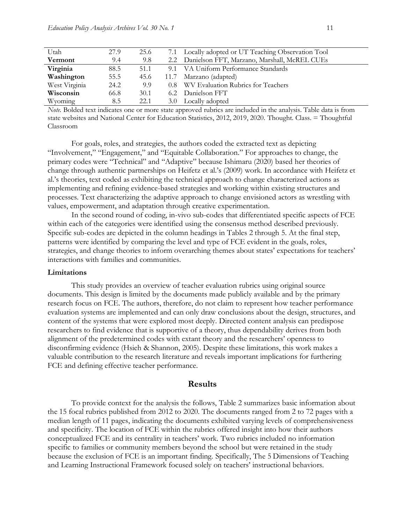| Utah          | 27.9 | 25.6 | 7.1 Locally adopted or UT Teaching Observation Tool |
|---------------|------|------|-----------------------------------------------------|
| Vermont       | 9.4  | 9.8  | 2.2 Danielson FFT, Marzano, Marshall, McREL CUEs    |
| Virginia      | 88.5 | 51.1 | 9.1 VA Uniform Performance Standards                |
| Washington    | 55.5 | 45.6 | 11.7 Marzano (adapted)                              |
| West Virginia | 24.2 | 9.9  | 0.8 WV Evaluation Rubrics for Teachers              |
| Wisconsin     | 66.8 | 30.1 | 6.2 Danielson FFT                                   |
| Wyoming       | 8.5  | 22.1 | 3.0 Locally adopted                                 |

*Note.* Bolded text indicates one or more state approved rubrics are included in the analysis. Table data is from state websites and National Center for Education Statistics, 2012, 2019, 2020. Thought. Class. = Thoughtful Classroom

For goals, roles, and strategies, the authors coded the extracted text as depicting "Involvement," "Engagement," and "Equitable Collaboration." For approaches to change, the primary codes were "Technical" and "Adaptive" because Ishimaru (2020) based her theories of change through authentic partnerships on Heifetz et al.'s (2009) work. In accordance with Heifetz et al.'s theories, text coded as exhibiting the technical approach to change characterized actions as implementing and refining evidence-based strategies and working within existing structures and processes. Text characterizing the adaptive approach to change envisioned actors as wrestling with values, empowerment, and adaptation through creative experimentation.

In the second round of coding, in-vivo sub-codes that differentiated specific aspects of FCE within each of the categories were identified using the consensus method described previously. Specific sub-codes are depicted in the column headings in Tables 2 through 5. At the final step, patterns were identified by comparing the level and type of FCE evident in the goals, roles, strategies, and change theories to inform overarching themes about states' expectations for teachers' interactions with families and communities.

#### **Limitations**

This study provides an overview of teacher evaluation rubrics using original source documents. This design is limited by the documents made publicly available and by the primary research focus on FCE. The authors, therefore, do not claim to represent how teacher performance evaluation systems are implemented and can only draw conclusions about the design, structures, and content of the systems that were explored most deeply. Directed content analysis can predispose researchers to find evidence that is supportive of a theory, thus dependability derives from both alignment of the predetermined codes with extant theory and the researchers' openness to disconfirming evidence (Hsieh & Shannon, 2005). Despite these limitations, this work makes a valuable contribution to the research literature and reveals important implications for furthering FCE and defining effective teacher performance.

#### **Results**

To provide context for the analysis the follows, Table 2 summarizes basic information about the 15 focal rubrics published from 2012 to 2020. The documents ranged from 2 to 72 pages with a median length of 11 pages, indicating the documents exhibited varying levels of comprehensiveness and specificity. The location of FCE within the rubrics offered insight into how their authors conceptualized FCE and its centrality in teachers' work. Two rubrics included no information specific to families or community members beyond the school but were retained in the study because the exclusion of FCE is an important finding. Specifically, The 5 Dimensions of Teaching and Learning Instructional Framework focused solely on teachers' instructional behaviors.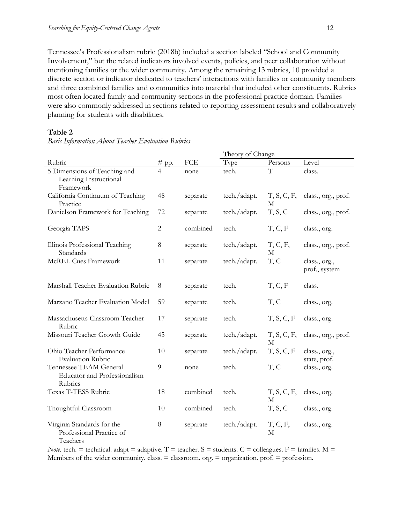Tennessee's Professionalism rubric (2018b) included a section labeled "School and Community Involvement," but the related indicators involved events, policies, and peer collaboration without mentioning families or the wider community. Among the remaining 13 rubrics, 10 provided a discrete section or indicator dedicated to teachers' interactions with families or community members and three combined families and communities into material that included other constituents. Rubrics most often located family and community sections in the professional practice domain. Families were also commonly addressed in sections related to reporting assessment results and collaboratively planning for students with disabilities.

#### **Table 2**

*Basic Information About Teacher Evaluation Rubrics*

|                                                                          |                |          | Theory of Change |                  |                                |  |
|--------------------------------------------------------------------------|----------------|----------|------------------|------------------|--------------------------------|--|
| Rubric                                                                   | $#$ pp.        | FCE      | Type             | Persons          | Level                          |  |
| 5 Dimensions of Teaching and<br>Learning Instructional<br>Framework      | 4              | none     | tech.            | $\overline{T}$   | class.                         |  |
| California Continuum of Teaching<br>Practice                             | 48             | separate | tech./adapt.     | T, S, C, F,<br>M | class., org., prof.            |  |
| Danielson Framework for Teaching                                         | 72             | separate | tech./adapt.     | T, S, C          | class., org., prof.            |  |
| Georgia TAPS                                                             | $\overline{c}$ | combined | tech.            | T, C, F          | class., org.                   |  |
| Illinois Professional Teaching<br>Standards                              | $8\,$          | separate | tech./adapt.     | T, C, F,<br>М    | class., org., prof.            |  |
| McREL Cues Framework                                                     | 11             | separate | tech./adapt.     | T, C             | class., org.,<br>prof., system |  |
| Marshall Teacher Evaluation Rubric                                       | 8              | separate | tech.            | T, C, F          | class.                         |  |
| Marzano Teacher Evaluation Model                                         | 59             | separate | tech.            | T, C             | class., org.                   |  |
| Massachusetts Classroom Teacher<br>Rubric                                | 17             | separate | tech.            | T, S, C, F       | class., org.                   |  |
| Missouri Teacher Growth Guide                                            | 45             | separate | tech./adapt.     | T, S, C, F,<br>M | class., org., prof.            |  |
| Ohio Teacher Performance<br><b>Evaluation Rubric</b>                     | 10             | separate | tech./adapt.     | T, S, C, F       | class., org.,<br>state, prof.  |  |
| Tennessee TEAM General<br><b>Educator</b> and Professionalism<br>Rubrics | 9              | none     | tech.            | T, C             | class., org.                   |  |
| Texas T-TESS Rubric                                                      | 18             | combined | tech.            | T, S, C, F,<br>M | class., org.                   |  |
| Thoughtful Classroom                                                     | 10             | combined | tech.            | T, S, C          | class., org.                   |  |
| Virginia Standards for the<br>Professional Practice of<br>Teachers       | $\,8\,$        | separate | tech./adapt.     | T, C, F,<br>М    | class., org.                   |  |

*Note.* tech. = technical. adapt = adaptive. T = teacher. S = students. C = colleagues. F = families.  $M =$ Members of the wider community. class.  $=$  classroom. org.  $=$  organization. prof.  $=$  profession.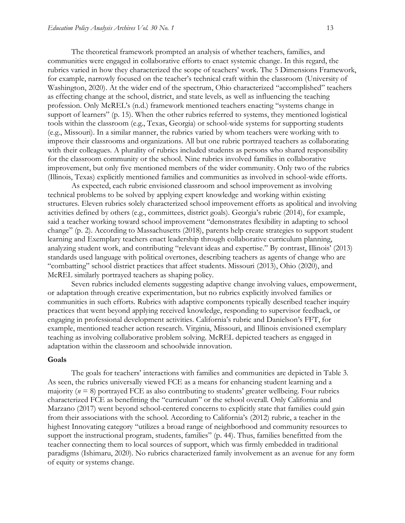The theoretical framework prompted an analysis of whether teachers, families, and communities were engaged in collaborative efforts to enact systemic change. In this regard, the rubrics varied in how they characterized the scope of teachers' work. The 5 Dimensions Framework, for example, narrowly focused on the teacher's technical craft within the classroom (University of Washington, 2020). At the wider end of the spectrum, Ohio characterized "accomplished" teachers as effecting change at the school, district, and state levels, as well as influencing the teaching profession. Only McREL's (n.d.) framework mentioned teachers enacting "systems change in support of learners" (p. 15). When the other rubrics referred to systems, they mentioned logistical tools within the classroom (e.g., Texas, Georgia) or school-wide systems for supporting students (e.g., Missouri). In a similar manner, the rubrics varied by whom teachers were working with to improve their classrooms and organizations. All but one rubric portrayed teachers as collaborating with their colleagues. A plurality of rubrics included students as persons who shared responsibility for the classroom community or the school. Nine rubrics involved families in collaborative improvement, but only five mentioned members of the wider community. Only two of the rubrics (Illinois, Texas) explicitly mentioned families and communities as involved in school-wide efforts.

As expected, each rubric envisioned classroom and school improvement as involving technical problems to be solved by applying expert knowledge and working within existing structures. Eleven rubrics solely characterized school improvement efforts as apolitical and involving activities defined by others (e.g., committees, district goals). Georgia's rubric (2014), for example, said a teacher working toward school improvement "demonstrates flexibility in adapting to school change" (p. 2). According to Massachusetts (2018), parents help create strategies to support student learning and Exemplary teachers enact leadership through collaborative curriculum planning, analyzing student work, and contributing "relevant ideas and expertise." By contrast, Illinois' (2013) standards used language with political overtones, describing teachers as agents of change who are "combatting" school district practices that affect students. Missouri (2013), Ohio (2020), and McREL similarly portrayed teachers as shaping policy.

Seven rubrics included elements suggesting adaptive change involving values, empowerment, or adaptation through creative experimentation, but no rubrics explicitly involved families or communities in such efforts. Rubrics with adaptive components typically described teacher inquiry practices that went beyond applying received knowledge, responding to supervisor feedback, or engaging in professional development activities. California's rubric and Danielson's FFT, for example, mentioned teacher action research. Virginia, Missouri, and Illinois envisioned exemplary teaching as involving collaborative problem solving. McREL depicted teachers as engaged in adaptation within the classroom and schoolwide innovation.

#### **Goals**

The goals for teachers' interactions with families and communities are depicted in Table 3. As seen, the rubrics universally viewed FCE as a means for enhancing student learning and a majority (*n* = 8) portrayed FCE as also contributing to students' greater wellbeing. Four rubrics characterized FCE as benefitting the "curriculum" or the school overall. Only California and Marzano (2017) went beyond school-centered concerns to explicitly state that families could gain from their associations with the school. According to California's (2012) rubric, a teacher in the highest Innovating category "utilizes a broad range of neighborhood and community resources to support the instructional program, students, families" (p. 44). Thus, families benefitted from the teacher connecting them to local sources of support, which was firmly embedded in traditional paradigms (Ishimaru, 2020). No rubrics characterized family involvement as an avenue for any form of equity or systems change.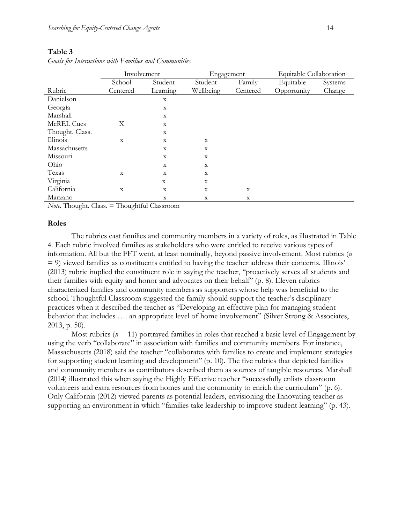|                   | Involvement    |              | Engagement  |             | Equitable Collaboration |         |  |
|-------------------|----------------|--------------|-------------|-------------|-------------------------|---------|--|
|                   | School         | Student      | Student     | Family      | Equitable               | Systems |  |
| Rubric            | Centered       | Learning     | Wellbeing   | Centered    | Opportunity             | Change  |  |
| Danielson         |                | X            |             |             |                         |         |  |
| Georgia           |                | X            |             |             |                         |         |  |
| Marshall          |                | X            |             |             |                         |         |  |
| <b>McREL Cues</b> | X              | X            |             |             |                         |         |  |
| Thought. Class.   |                | $\mathbf X$  |             |             |                         |         |  |
| Illinois          | $\overline{X}$ | $\mathbf{x}$ | X           |             |                         |         |  |
| Massachusetts     |                | $\mathbf X$  | $\mathbf X$ |             |                         |         |  |
| Missouri          |                | X            | X           |             |                         |         |  |
| Ohio              |                | X            | $\mathbf X$ |             |                         |         |  |
| Texas             | $\mathbf{x}$   | X            | X           |             |                         |         |  |
| Virginia          |                | X            | X           |             |                         |         |  |
| California        | $\mathbf X$    | X            | $\mathbf X$ | $\mathbf X$ |                         |         |  |
| Marzano           |                | X            | $\mathbf X$ | $\mathbf X$ |                         |         |  |

*Goals for Interactions with Families and Communities*

*Note.* Thought. Class. = Thoughtful Classroom

#### **Roles**

The rubrics cast families and community members in a variety of roles, as illustrated in Table 4. Each rubric involved families as stakeholders who were entitled to receive various types of information. All but the FFT went, at least nominally, beyond passive involvement. Most rubrics (*n* = 9) viewed families as constituents entitled to having the teacher address their concerns. Illinois' (2013) rubric implied the constituent role in saying the teacher, "proactively serves all students and their families with equity and honor and advocates on their behalf" (p. 8). Eleven rubrics characterized families and community members as supporters whose help was beneficial to the school. Thoughtful Classroom suggested the family should support the teacher's disciplinary practices when it described the teacher as "Developing an effective plan for managing student behavior that includes .... an appropriate level of home involvement" (Silver Strong & Associates, 2013, p. 50).

Most rubrics ( $n = 11$ ) portrayed families in roles that reached a basic level of Engagement by using the verb "collaborate" in association with families and community members. For instance, Massachusetts (2018) said the teacher "collaborates with families to create and implement strategies for supporting student learning and development" (p. 10). The five rubrics that depicted families and community members as contributors described them as sources of tangible resources. Marshall (2014) illustrated this when saying the Highly Effective teacher "successfully enlists classroom volunteers and extra resources from homes and the community to enrich the curriculum" (p. 6). Only California (2012) viewed parents as potential leaders, envisioning the Innovating teacher as supporting an environment in which "families take leadership to improve student learning" (p. 43).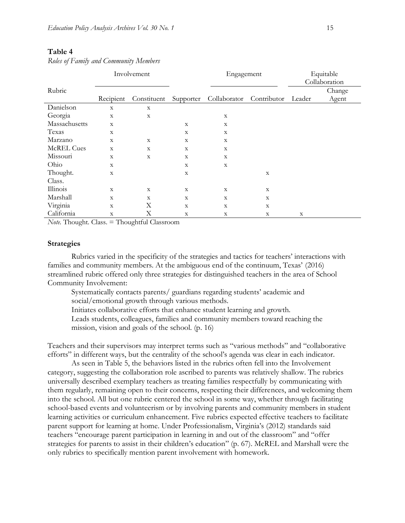|                   |             | Involvement |             | Engagement   |             |             | Equitable     |  |
|-------------------|-------------|-------------|-------------|--------------|-------------|-------------|---------------|--|
|                   |             |             |             |              |             |             | Collaboration |  |
| Rubric            |             |             |             |              |             |             | Change        |  |
|                   | Recipient   | Constituent | Supporter   | Collaborator | Contributor | Leader      | Agent         |  |
| Danielson         | $\mathbf X$ | $\mathbf X$ |             |              |             |             |               |  |
| Georgia           | $\mathbf X$ | $\mathbf X$ |             | $\mathbf X$  |             |             |               |  |
| Massachusetts     | $\mathbf X$ |             | $\mathbf X$ | $\mathbf X$  |             |             |               |  |
| Texas             | $\mathbf X$ |             | $\mathbf X$ | $\mathbf X$  |             |             |               |  |
| Marzano           | $\mathbf X$ | $\mathbf X$ | $\mathbf X$ | $\mathbf X$  |             |             |               |  |
| <b>McREL Cues</b> | $\mathbf X$ | $\mathbf X$ | X           | $\mathbf X$  |             |             |               |  |
| Missouri          | X           | $\mathbf X$ | X           | $\mathbf X$  |             |             |               |  |
| Ohio              | X           |             | X           | $\mathbf X$  |             |             |               |  |
| Thought.          | $\mathbf X$ |             | X           |              | $\mathbf X$ |             |               |  |
| Class.            |             |             |             |              |             |             |               |  |
| Illinois          | $\mathbf X$ | $\mathbf X$ | X           | X            | X           |             |               |  |
| Marshall          | $\mathbf X$ | $\mathbf X$ | X           | X            | X           |             |               |  |
| Virginia          | X           | Х           | $\mathbf X$ | X            | $\mathbf X$ |             |               |  |
| California        | $\mathbf X$ | X           | X           | X            | X           | $\mathbf X$ |               |  |

*Roles of Family and Community Members*

*Note.* Thought. Class. = Thoughtful Classroom

#### **Strategies**

Rubrics varied in the specificity of the strategies and tactics for teachers' interactions with families and community members. At the ambiguous end of the continuum, Texas' (2016) streamlined rubric offered only three strategies for distinguished teachers in the area of School Community Involvement:

Systematically contacts parents/ guardians regarding students' academic and social/emotional growth through various methods.

Initiates collaborative efforts that enhance student learning and growth.

Leads students, colleagues, families and community members toward reaching the mission, vision and goals of the school. (p. 16)

Teachers and their supervisors may interpret terms such as "various methods" and "collaborative efforts" in different ways, but the centrality of the school's agenda was clear in each indicator.

As seen in Table 5, the behaviors listed in the rubrics often fell into the Involvement category, suggesting the collaboration role ascribed to parents was relatively shallow. The rubrics universally described exemplary teachers as treating families respectfully by communicating with them regularly, remaining open to their concerns, respecting their differences, and welcoming them into the school. All but one rubric centered the school in some way, whether through facilitating school-based events and volunteerism or by involving parents and community members in student learning activities or curriculum enhancement. Five rubrics expected effective teachers to facilitate parent support for learning at home. Under Professionalism, Virginia's (2012) standards said teachers "encourage parent participation in learning in and out of the classroom" and "offer strategies for parents to assist in their children's education" (p. 67). McREL and Marshall were the only rubrics to specifically mention parent involvement with homework.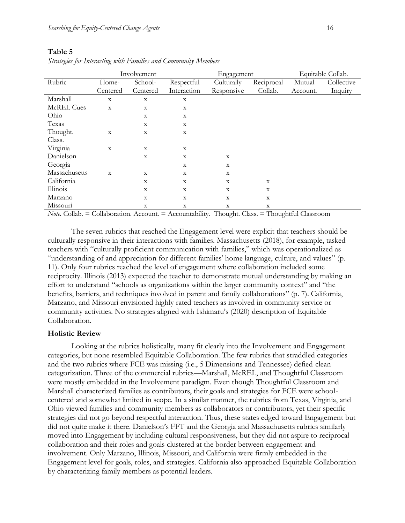|                   | Involvement |             |             | Engagement  |                           | Equitable Collab. |            |
|-------------------|-------------|-------------|-------------|-------------|---------------------------|-------------------|------------|
| Rubric            | Home-       | School-     | Respectful  | Culturally  | Reciprocal                | Mutual            | Collective |
|                   | Centered    | Centered    | Interaction | Responsive  | Collab.                   | Account.          | Inquiry    |
| Marshall          | $\mathbf X$ | $\mathbf X$ | X           |             |                           |                   |            |
| <b>McREL Cues</b> | $\mathbf X$ | $\mathbf X$ | $\mathbf X$ |             |                           |                   |            |
| Ohio              |             | $\mathbf X$ | $\mathbf X$ |             |                           |                   |            |
| Texas             |             | $\mathbf X$ | $\mathbf X$ |             |                           |                   |            |
| Thought.          | $\mathbf X$ | $\mathbf X$ | X           |             |                           |                   |            |
| Class.            |             |             |             |             |                           |                   |            |
| Virginia          | $\mathbf X$ | X           | $\mathbf X$ |             |                           |                   |            |
| Danielson         |             | $\mathbf X$ | $\mathbf X$ | $\mathbf X$ |                           |                   |            |
| Georgia           |             |             | X           | X           |                           |                   |            |
| Massachusetts     | $\mathbf X$ | $\mathbf X$ | $\mathbf X$ | $\mathbf X$ |                           |                   |            |
| California        |             | $\mathbf X$ | X           | X           | $\mathbf X$               |                   |            |
| Illinois          |             | $\mathbf X$ | $\mathbf X$ | $\mathbf X$ | $\mathbf X$               |                   |            |
| Marzano           |             | $\mathbf X$ | X           | $\mathbf X$ | $\mathbf X$               |                   |            |
| Missouri          |             | $\mathbf X$ | X           | $\mathbf X$ | $\boldsymbol{\mathrm{X}}$ |                   |            |

*Strategies for Interacting with Families and Community Members*

*Note.* Collab. = Collaboration. Account. = Accountability. Thought. Class. = Thoughtful Classroom

The seven rubrics that reached the Engagement level were explicit that teachers should be culturally responsive in their interactions with families. Massachusetts (2018), for example, tasked teachers with "culturally proficient communication with families," which was operationalized as "understanding of and appreciation for different families' home language, culture, and values" (p. 11). Only four rubrics reached the level of engagement where collaboration included some reciprocity. Illinois (2013) expected the teacher to demonstrate mutual understanding by making an effort to understand "schools as organizations within the larger community context" and "the benefits, barriers, and techniques involved in parent and family collaborations" (p. 7). California, Marzano, and Missouri envisioned highly rated teachers as involved in community service or community activities. No strategies aligned with Ishimaru's (2020) description of Equitable Collaboration.

#### **Holistic Review**

Looking at the rubrics holistically, many fit clearly into the Involvement and Engagement categories, but none resembled Equitable Collaboration. The few rubrics that straddled categories and the two rubrics where FCE was missing (i.e., 5 Dimensions and Tennessee) defied clean categorization. Three of the commercial rubrics—Marshall, McREL, and Thoughtful Classroom were mostly embedded in the Involvement paradigm. Even though Thoughtful Classroom and Marshall characterized families as contributors, their goals and strategies for FCE were schoolcentered and somewhat limited in scope. In a similar manner, the rubrics from Texas, Virginia, and Ohio viewed families and community members as collaborators or contributors, yet their specific strategies did not go beyond respectful interaction. Thus, these states edged toward Engagement but did not quite make it there. Danielson's FFT and the Georgia and Massachusetts rubrics similarly moved into Engagement by including cultural responsiveness, but they did not aspire to reciprocal collaboration and their roles and goals clustered at the border between engagement and involvement. Only Marzano, Illinois, Missouri, and California were firmly embedded in the Engagement level for goals, roles, and strategies. California also approached Equitable Collaboration by characterizing family members as potential leaders.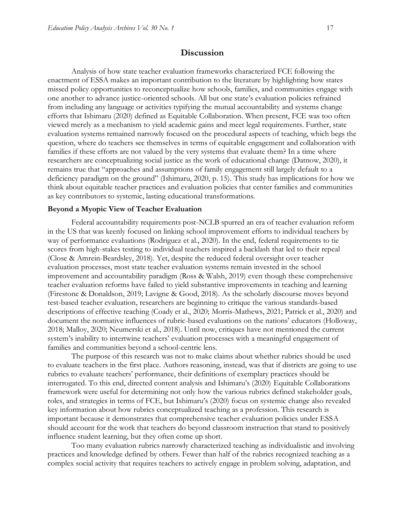#### **Discussion**

Analysis of how state teacher evaluation frameworks characterized FCE following the enactment of ESSA makes an important contribution to the literature by highlighting how states missed policy opportunities to reconceptualize how schools, families, and communities engage with one another to advance justice-oriented schools. All but one state's evaluation policies refrained from including any language or activities typifying the mutual accountability and systems change efforts that Ishimaru (2020) defined as Equitable Collaboration. When present, FCE was too often viewed merely as a mechanism to yield academic gains and meet legal requirements. Further, state evaluation systems remained narrowly focused on the procedural aspects of teaching, which begs the question, where do teachers see themselves in terms of equitable engagement and collaboration with families if these efforts are not valued by the very systems that evaluate them? In a time where researchers are conceptualizing social justice as the work of educational change (Datnow, 2020), it remains true that "approaches and assumptions of family engagement still largely default to a deficiency paradigm on the ground" (Ishimaru, 2020, p. 15). This study has implications for how we think about equitable teacher practices and evaluation policies that center families and communities as key contributors to systemic, lasting educational transformations.

#### **Beyond a Myopic View of Teacher Evaluation**

Federal accountability requirements post-NCLB spurred an era of teacher evaluation reform in the US that was keenly focused on linking school improvement efforts to individual teachers by way of performance evaluations (Rodriguez et al., 2020). In the end, federal requirements to tie scores from high-stakes testing to individual teachers inspired a backlash that led to their repeal (Close & Amrein-Beardsley, 2018). Yet, despite the reduced federal oversight over teacher evaluation processes, most state teacher evaluation systems remain invested in the school improvement and accountability paradigm (Ross & Walsh, 2019) even though these comprehensive teacher evaluation reforms have failed to yield substantive improvements in teaching and learning (Firestone & Donaldson, 2019; Lavigne & Good, 2018). As the scholarly discourse moves beyond test-based teacher evaluation, researchers are beginning to critique the various standards-based descriptions of effective teaching (Coady et al., 2020; Morris-Mathews, 2021; Patrick et al., 2020) and document the normative influences of rubric-based evaluations on the nations' educators (Holloway, 2018; Malloy, 2020; Neumerski et al., 2018). Until now, critiques have not mentioned the current system's inability to intertwine teachers' evaluation processes with a meaningful engagement of families and communities beyond a school-centric lens.

The purpose of this research was not to make claims about whether rubrics should be used to evaluate teachers in the first place. Authors reasoning, instead, was that if districts are going to use rubrics to evaluate teachers' performance, their definitions of exemplary practices should be interrogated. To this end, directed content analysis and Ishimaru's (2020) Equitable Collaborations framework were useful for determining not only how the various rubrics defined stakeholder goals, roles, and strategies in terms of FCE, but Ishimaru's (2020) focus on systemic change also revealed key information about how rubrics conceptualized teaching as a profession. This research is important because it demonstrates that comprehensive teacher evaluation policies under ESSA should account for the work that teachers do beyond classroom instruction that stand to positively influence student learning, but they often come up short.

Too many evaluation rubrics narrowly characterized teaching as individualistic and involving practices and knowledge defined by others. Fewer than half of the rubrics recognized teaching as a complex social activity that requires teachers to actively engage in problem solving, adaptation, and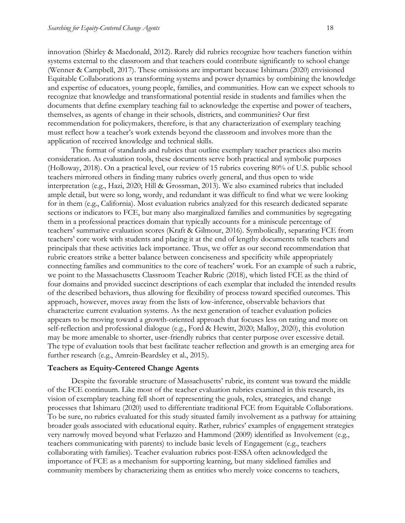innovation (Shirley & Macdonald, 2012). Rarely did rubrics recognize how teachers function within systems external to the classroom and that teachers could contribute significantly to school change (Wenner & Campbell, 2017). These omissions are important because Ishimaru (2020) envisioned Equitable Collaborations as transforming systems and power dynamics by combining the knowledge and expertise of educators, young people, families, and communities. How can we expect schools to recognize that knowledge and transformational potential reside in students and families when the documents that define exemplary teaching fail to acknowledge the expertise and power of teachers, themselves, as agents of change in their schools, districts, and communities? Our first recommendation for policymakers, therefore, is that any characterization of exemplary teaching must reflect how a teacher's work extends beyond the classroom and involves more than the application of received knowledge and technical skills.

The format of standards and rubrics that outline exemplary teacher practices also merits consideration. As evaluation tools, these documents serve both practical and symbolic purposes (Holloway, 2018). On a practical level, our review of 15 rubrics covering 80% of U.S. public school teachers mirrored others in finding many rubrics overly general, and thus open to wide interpretation (e.g., Hazi, 2020; Hill & Grossman, 2013). We also examined rubrics that included ample detail, but were so long, wordy, and redundant it was difficult to find what we were looking for in them (e.g., California). Most evaluation rubrics analyzed for this research dedicated separate sections or indicators to FCE, but many also marginalized families and communities by segregating them in a professional practices domain that typically accounts for a miniscule percentage of teachers' summative evaluation scores (Kraft & Gilmour, 2016). Symbolically, separating FCE from teachers' core work with students and placing it at the end of lengthy documents tells teachers and principals that these activities lack importance. Thus, we offer as our second recommendation that rubric creators strike a better balance between conciseness and specificity while appropriately connecting families and communities to the core of teachers' work. For an example of such a rubric, we point to the Massachusetts Classroom Teacher Rubric (2018), which listed FCE as the third of four domains and provided succinct descriptions of each exemplar that included the intended results of the described behaviors, thus allowing for flexibility of process toward specified outcomes. This approach, however, moves away from the lists of low-inference, observable behaviors that characterize current evaluation systems. As the next generation of teacher evaluation policies appears to be moving toward a growth-oriented approach that focuses less on rating and more on self-reflection and professional dialogue (e.g., Ford & Hewitt, 2020; Malloy, 2020), this evolution may be more amenable to shorter, user-friendly rubrics that center purpose over excessive detail. The type of evaluation tools that best facilitate teacher reflection and growth is an emerging area for further research (e.g., Amrein-Beardsley et al., 2015).

#### **Teachers as Equity-Centered Change Agents**

Despite the favorable structure of Massachusetts' rubric, its content was toward the middle of the FCE continuum. Like most of the teacher evaluation rubrics examined in this research, its vision of exemplary teaching fell short of representing the goals, roles, strategies, and change processes that Ishimaru (2020) used to differentiate traditional FCE from Equitable Collaborations. To be sure, no rubrics evaluated for this study situated family involvement as a pathway for attaining broader goals associated with educational equity. Rather, rubrics' examples of engagement strategies very narrowly moved beyond what Ferlazzo and Hammond (2009) identified as Involvement (e.g., teachers communicating with parents) to include basic levels of Engagement (e.g., teachers collaborating with families). Teacher evaluation rubrics post-ESSA often acknowledged the importance of FCE as a mechanism for supporting learning, but many sidelined families and community members by characterizing them as entities who merely voice concerns to teachers,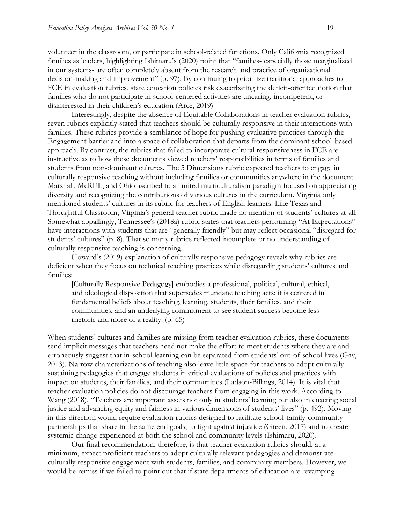volunteer in the classroom, or participate in school-related functions. Only California recognized families as leaders, highlighting Ishimaru's (2020) point that "families- especially those marginalized in our systems- are often completely absent from the research and practice of organizational decision-making and improvement" (p. 97). By continuing to prioritize traditional approaches to FCE in evaluation rubrics, state education policies risk exacerbating the deficit-oriented notion that families who do not participate in school-centered activities are uncaring, incompetent, or disinterested in their children's education (Arce, 2019)

Interestingly, despite the absence of Equitable Collaborations in teacher evaluation rubrics, seven rubrics explicitly stated that teachers should be culturally responsive in their interactions with families. These rubrics provide a semblance of hope for pushing evaluative practices through the Engagement barrier and into a space of collaboration that departs from the dominant school-based approach. By contrast, the rubrics that failed to incorporate cultural responsiveness in FCE are instructive as to how these documents viewed teachers' responsibilities in terms of families and students from non-dominant cultures. The 5 Dimensions rubric expected teachers to engage in culturally responsive teaching without including families or communities anywhere in the document. Marshall, McREL, and Ohio ascribed to a limited multiculturalism paradigm focused on appreciating diversity and recognizing the contributions of various cultures in the curriculum. Virginia only mentioned students' cultures in its rubric for teachers of English learners. Like Texas and Thoughtful Classroom, Virginia's general teacher rubric made no mention of students' cultures at all. Somewhat appallingly, Tennessee's (2018a) rubric states that teachers performing "At Expectations" have interactions with students that are "generally friendly" but may reflect occasional "disregard for students' cultures" (p. 8). That so many rubrics reflected incomplete or no understanding of culturally responsive teaching is concerning.

Howard's (2019) explanation of culturally responsive pedagogy reveals why rubrics are deficient when they focus on technical teaching practices while disregarding students' cultures and families:

[Culturally Responsive Pedagogy] embodies a professional, political, cultural, ethical, and ideological disposition that supersedes mundane teaching acts; it is centered in fundamental beliefs about teaching, learning, students, their families, and their communities, and an underlying commitment to see student success become less rhetoric and more of a reality. (p. 65)

When students' cultures and families are missing from teacher evaluation rubrics, these documents send implicit messages that teachers need not make the effort to meet students where they are and erroneously suggest that in-school learning can be separated from students' out-of-school lives (Gay, 2013). Narrow characterizations of teaching also leave little space for teachers to adopt culturally sustaining pedagogies that engage students in critical evaluations of policies and practices with impact on students, their families, and their communities (Ladson-Billings, 2014). It is vital that teacher evaluation policies do not discourage teachers from engaging in this work. According to Wang (2018), "Teachers are important assets not only in students' learning but also in enacting social justice and advancing equity and fairness in various dimensions of students' lives" (p. 492). Moving in this direction would require evaluation rubrics designed to facilitate school-family-community partnerships that share in the same end goals, to fight against injustice (Green, 2017) and to create systemic change experienced at both the school and community levels (Ishimaru, 2020).

Our final recommendation, therefore, is that teacher evaluation rubrics should, at a minimum, expect proficient teachers to adopt culturally relevant pedagogies and demonstrate culturally responsive engagement with students, families, and community members. However, we would be remiss if we failed to point out that if state departments of education are revamping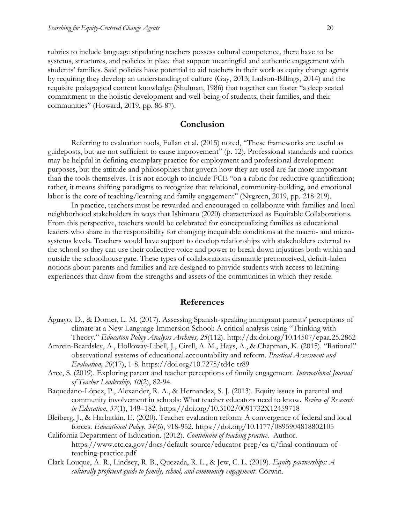rubrics to include language stipulating teachers possess cultural competence, there have to be systems, structures, and policies in place that support meaningful and authentic engagement with students' families. Said policies have potential to aid teachers in their work as equity change agents by requiring they develop an understanding of culture (Gay, 2013; Ladson-Billings, 2014) and the requisite pedagogical content knowledge (Shulman, 1986) that together can foster "a deep seated commitment to the holistic development and well-being of students, their families, and their communities" (Howard, 2019, pp. 86-87).

#### **Conclusion**

Referring to evaluation tools, Fullan et al. (2015) noted, "These frameworks are useful as guideposts, but are not sufficient to cause improvement" (p. 12). Professional standards and rubrics may be helpful in defining exemplary practice for employment and professional development purposes, but the attitude and philosophies that govern how they are used are far more important than the tools themselves. It is not enough to include FCE "on a rubric for reductive quantification; rather, it means shifting paradigms to recognize that relational, community-building, and emotional labor is the core of teaching/learning and family engagement" (Nygreen, 2019, pp. 218-219).

In practice, teachers must be rewarded and encouraged to collaborate with families and local neighborhood stakeholders in ways that Ishimaru (2020) characterized as Equitable Collaborations. From this perspective, teachers would be celebrated for conceptualizing families as educational leaders who share in the responsibility for changing inequitable conditions at the macro- and microsystems levels. Teachers would have support to develop relationships with stakeholders external to the school so they can use their collective voice and power to break down injustices both within and outside the schoolhouse gate. These types of collaborations dismantle preconceived, deficit-laden notions about parents and families and are designed to provide students with access to learning experiences that draw from the strengths and assets of the communities in which they reside.

#### **References**

- Aguayo, D., & Dorner, L. M. (2017). Assessing Spanish-speaking immigrant parents' perceptions of climate at a New Language Immersion School: A critical analysis using "Thinking with Theory." *Education Policy Analysis Archives, 25*(112). http://dx.doi.org/10.14507/epaa.25.2862
- Amrein-Beardsley, A., Holloway-Libell, J., Cirell, A. M., Hays, A., & Chapman, K. (2015). "Rational" observational systems of educational accountability and reform. *Practical Assessment and Evaluation, 20*(17), 1-8. https://doi.org/10.7275/td4c-tr89
- Arce, S. (2019). Exploring parent and teacher perceptions of family engagement. *International Journal of Teacher Leadership, 10*(2), 82-94.
- Baquedano-López, P., Alexander, R. A., & Hernandez, S. J. (2013). Equity issues in parental and community involvement in schools: What teacher educators need to know. *Review of Research in Education*, *37*(1), 149–182. https://doi.org/10.3102/0091732X12459718
- Bleiberg, J., & Harbatkin, E. (2020). Teacher evaluation reform: A convergence of federal and local forces. *Educational Policy*, *34*(6), 918-952. https://doi.org/10.1177/0895904818802105
- California Department of Education. (2012). *Continuum of teaching practice*. Author. https://www.ctc.ca.gov/docs/default-source/educator-prep/ca-ti/final-continuum-ofteaching-practice.pdf
- Clark-Louque, A. R., Lindsey, R. B., Quezada, R. L., & Jew, C. L. (2019). *Equity partnerships: A culturally proficient guide to family, school, and community engagement*. Corwin.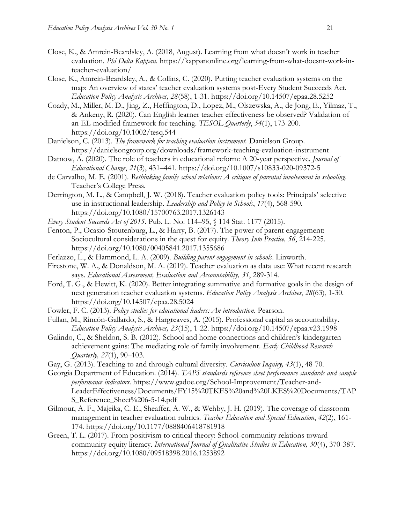- Close, K., & Amrein-Beardsley, A. (2018, August). Learning from what doesn't work in teacher evaluation. *Phi Delta Kappan*. https://kappanonline.org/learning-from-what-doesnt-work-inteacher-evaluation/
- Close, K., Amrein-Beardsley, A., & Collins, C. (2020). Putting teacher evaluation systems on the map: An overview of states' teacher evaluation systems post-Every Student Succeeds Act. *Education Policy Analysis Archives, 28*(58), 1-31. <https://doi.org/10.14507/epaa.28.5252>
- Coady, M., Miller, M. D., Jing, Z., Heffington, D., Lopez, M., Olszewska, A., de Jong, E., Yilmaz, T., & Ankeny, R. (2020). Can English learner teacher effectiveness be observed? Validation of an EL-modified framework for teaching. *TESOL Quarterly*, *54*(1), 173-200. https://doi.org/10.1002/tesq.544
- Danielson, C. (2013). *The framework for teaching evaluation instrument.* Danielson Group. https://danielsongroup.org/downloads/framework-teaching-evaluation-instrument
- Datnow, A. (2020). The role of teachers in educational reform: A 20-year perspective. *Journal of Educational Change*, *21*(3), 431–441. https://doi.org/10.1007/s10833-020-09372-5
- de Carvalho, M. E. (2001). *Rethinking family school relations: A critique of parental involvement in schooling*. Teacher's College Press.
- Derrington, M. L., & Campbell, J. W. (2018). Teacher evaluation policy tools: Principals' selective use in instructional leadership. *Leadership and Policy in Schools*, *17*(4), 568-590. https://doi.org/10.1080/15700763.2017.1326143
- *Every Student Succeeds Act of 2015*. Pub. L. No. 114–95, § 114 Stat. 1177 (2015).
- Fenton, P., Ocasio-Stoutenburg, L., & Harry, B. (2017). The power of parent engagement: Sociocultural considerations in the quest for equity. *Theory Into Practice, 56*, 214-225. https://doi.org/10.1080/00405841.2017.1355686
- Ferlazzo, L., & Hammond, L. A. (2009). *Building parent engagement in schools*. Linworth.
- Firestone, W. A., & Donaldson, M. A. (2019). Teacher evaluation as data use: What recent research says. *Educational Assessment, Evaluation and Accountability, 31*, 289-314.
- Ford, T. G., & Hewitt, K. (2020). Better integrating summative and formative goals in the design of next generation teacher evaluation systems. *Education Policy Analysis Archives*, *28*(63), 1-30. <https://doi.org/10.14507/epaa.28.5024>
- Fowler, F. C. (2013). *Policy studies for educational leaders: An introduction*. Pearson.
- Fullan, M., Rincón-Gallardo, S., & Hargreaves, A. (2015). Professional capital as accountability. *Education Policy Analysis Archives, 23*(15), 1-22. https://doi.org/10.14507/epaa.v23.1998
- Galindo, C., & Sheldon, S. B. (2012). School and home connections and children's kindergarten achievement gains: The mediating role of family involvement. *Early Childhood Research Quarterly, 27*(1), 90–103.
- Gay, G. (2013). Teaching to and through cultural diversity. *Curriculum Inquiry, 43*(1), 48-70.
- Georgia Department of Education. (2014). *TAPS standards reference sheet performance standards and sample performance indicators.* https://www.gadoe.org/School-Improvement/Teacher-and-LeaderEffectiveness/Documents/FY15%20TKES%20and%20LKES%20Documents/TAP S\_Reference\_Sheet%206-5-14.pdf
- Gilmour, A. F., Majeika, C. E., Sheaffer, A. W., & Wehby, J. H. (2019). The coverage of classroom management in teacher evaluation rubrics. *Teacher Education and Special Education*, *42*(2), 161- 174. https://doi.org/10.1177/0888406418781918
- Green, T. L. (2017). From positivism to critical theory: School-community relations toward community equity literacy. *International Journal of Qualitative Studies in Education, 30*(4), 370-387. https://doi.org/10.1080/09518398.2016.1253892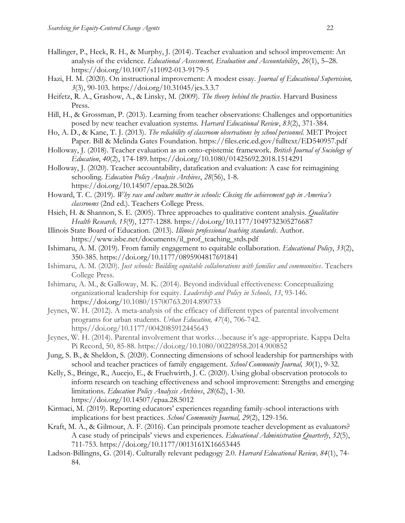- Hallinger, P., Heck, R. H., & Murphy, J. (2014). Teacher evaluation and school improvement: An analysis of the evidence. *Educational Assessment, Evaluation and Accountability*, *26*(1), 5–28. https://doi.org/10.1007/s11092-013-9179-5
- Hazi, H. M. (2020). On instructional improvement: A modest essay. *Journal of Educational Supervision, 3*(3), 90-103. https://doi.org/10.31045/jes.3.3.7
- Heifetz, R. A., Grashow, A., & Linsky, M. (2009). *The theory behind the practice*. Harvard Business Press.
- Hill, H., & Grossman, P. (2013). Learning from teacher observations: Challenges and opportunities posed by new teacher evaluation systems. *Harvard Educational Review*, *83*(2), 371-384.
- Ho, A. D., & Kane, T. J. (2013). *The reliability of classroom observations by school personnel.* MET Project Paper. Bill & Melinda Gates Foundation. https://files.eric.ed.gov/fulltext/ED540957.pdf
- Holloway, J. (2018). Teacher evaluation as an onto-epistemic framework. *British Journal of Sociology of Education*, *40*(2), 174-189. https://doi.org/10.1080/01425692.2018.1514291
- Holloway, J. (2020). Teacher accountability, datafication and evaluation: A case for reimagining schooling. *Education Policy Analysis Archives*, *28*(56), 1-8. https://doi.org/10.14507/epaa.28.5026
- Howard, T. C. (2019). *Why race and culture matter in schools: Closing the achievement gap in America's classrooms* (2nd ed.). Teachers College Press.
- Hsieh, H. & Shannon, S. E. (2005). Three approaches to qualitative content analysis. *Qualitative Health Research, 15*(9), 1277-1288. https://doi.org/10.1177/1049732305276687
- Illinois State Board of Education. (2013). *Illinois professional teaching standards*. Author. https://www.isbe.net/documents/il\_prof\_teaching\_stds.pdf
- Ishimaru, A. M. (2019). From family engagement to equitable collaboration. *Educational Policy*, *33*(2), 350-385. https://doi.org/10.1177/0895904817691841
- Ishimaru, A. M. (2020). *Just schools: Building equitable collaborations with families and communities*. Teachers College Press.
- Ishimaru, A. M., & Galloway, M. K. (2014). Beyond individual effectiveness: Conceptualizing organizational leadership for equity. *Leadership and Policy in Schools, 13*, 93-146. https://doi.org/10.1080/15700763.2014.890733
- Jeynes, W. H. (2012). A meta-analysis of the efficacy of different types of parental involvement programs for urban students. *Urban Education, 47*(4), 706-742. https//doi.org/10.1177/0042085912445643
- Jeynes, W. H. (2014). Parental involvement that works…because it's age-appropriate. Kappa Delta Pi Record, 50, 85-88. https://doi.org/10.1080/00228958.2014.900852
- Jung, S. B., & Sheldon, S. (2020). Connecting dimensions of school leadership for partnerships with school and teacher practices of family engagement. *School Community Journal, 30*(1), 9-32.
- Kelly, S., Bringe, R., Aucejo, E., & Fruehwirth, J. C. (2020). Using global observation protocols to inform research on teaching effectiveness and school improvement: Strengths and emerging limitations. *Education Policy Analysis Archives*, *28*(62), 1-30. https://doi.org/10.14507/epaa.28.5012
- Kirmaci, M. (2019). Reporting educators' experiences regarding family-school interactions with implications for best practices. *School Community Journal, 29*(2), 129-156.
- Kraft, M. A., & Gilmour, A. F. (2016). Can principals promote teacher development as evaluators? A case study of principals' views and experiences. *Educational Administration Quarterly*, *52*(5), 711-753. https://doi.org/10.1177/0013161X16653445
- Ladson-Billingns, G. (2014). Culturally relevant pedagogy 2.0. *Harvard Educational Review, 84*(1), 74- 84.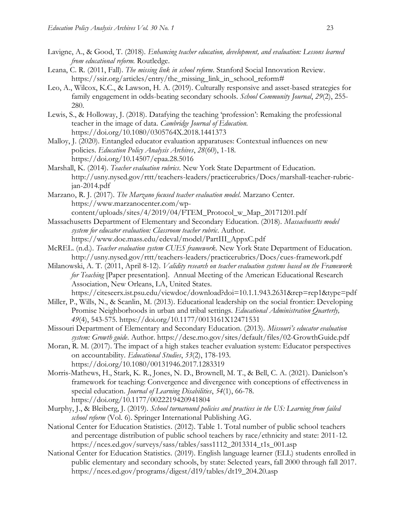- Lavigne, A., & Good, T. (2018). *Enhancing teacher education, development, and evaluation: Lessons learned from educational reform.* Routledge.
- Leana, C. R. (2011, Fall). *The missing link in school reform*. Stanford Social Innovation Review. https://ssir.org/articles/entry/the\_missing\_link\_in\_school\_reform#
- Leo, A., Wilcox, K.C., & Lawson, H. A. (2019). Culturally responsive and asset-based strategies for family engagement in odds-beating secondary schools. *School Community Journal*, *29*(2), 255- 280.
- Lewis, S., & Holloway, J. (2018). Datafying the teaching 'profession': Remaking the professional teacher in the image of data. *Cambridge Journal of Education.* https://doi.org/10.1080/0305764X.2018.1441373
- Malloy, J. (2020). Entangled educator evaluation apparatuses: Contextual influences on new policies. *Education Policy Analysis Archives*, *28*(60), 1-18. https://doi.org/10.14507/epaa.28.5016
- Marshall, K. (2014). *Teacher evaluation rubrics*. New York State Department of Education. http://usny.nysed.gov/rttt/teachers-leaders/practicerubrics/Docs/marshall-teacher-rubricjan-2014.pdf
- Marzano, R. J. (2017). *The Marzano focused teacher evaluation model*. Marzano Center. https://www.marzanocenter.com/wpcontent/uploads/sites/4/2019/04/FTEM\_Protocol\_w\_Map\_20171201.pdf
- Massachusetts Department of Elementary and Secondary Education. (2018). *Massachusetts model system for educator evaluation: Classroom teacher rubric*. Author. https://www.doe.mass.edu/edeval/model/PartIII\_AppxC.pdf
- McREL. (n.d.). *Teacher evaluation system CUES framework*. New York State Department of Education. http://usny.nysed.gov/rttt/teachers-leaders/practicerubrics/Docs/cues-framework.pdf
- Milanowski, A. T. (2011, April 8-12). *Validity research on teacher evaluation systems based on the Framework for Teaching* [Paper presentation]. Annual Meeting of the American Educational Research Association, New Orleans, LA, United States.

https://citeseerx.ist.psu.edu/viewdoc/download?doi=10.1.1.943.2631&rep=rep1&type=pdf

- Miller, P., Wills, N., & Scanlin, M. (2013). Educational leadership on the social frontier: Developing Promise Neighborhoods in urban and tribal settings. *Educational Administration Quarterly, 49*(4), 543-575. https://doi.org/10.1177/0013161X12471531
- Missouri Department of Elementary and Secondary Education. (2013). *Missouri's educator evaluation system: Growth guide*. Author. https://dese.mo.gov/sites/default/files/02-GrowthGuide.pdf
- Moran, R. M. (2017). The impact of a high stakes teacher evaluation system: Educator perspectives on accountability. *Educational Studies*, *53*(2), 178-193. https://doi.org/10.1080/00131946.2017.1283319
- Morris-Mathews, H., Stark, K. R., Jones, N. D., Brownell, M. T., & Bell, C. A. (2021). Danielson's framework for teaching: Convergence and divergence with conceptions of effectiveness in special education. *Journal of Learning Disabilities*, *54*(1), 66-78. https://doi.org/10.1177/0022219420941804
- Murphy, J., & Bleiberg, J. (2019). *School turnaround policies and practices in the US: Learning from failed school reform* (Vol. 6). Springer International Publishing AG.
- National Center for Education Statistics. (2012). Table 1. Total number of public school teachers and percentage distribution of public school teachers by race/ethnicity and state: 2011-12. https://nces.ed.gov/surveys/sass/tables/sass1112\_2013314\_t1s\_001.asp
- National Center for Education Statistics. (2019). English language learner (ELL) students enrolled in public elementary and secondary schools, by state: Selected years, fall 2000 through fall 2017. https://nces.ed.gov/programs/digest/d19/tables/dt19\_204.20.asp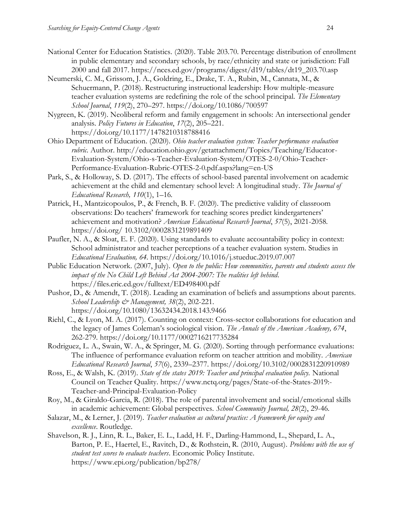- National Center for Education Statistics. (2020). Table 203.70. Percentage distribution of enrollment in public elementary and secondary schools, by race/ethnicity and state or jurisdiction: Fall 2000 and fall 2017. https://nces.ed.gov/programs/digest/d19/tables/dt19\_203.70.asp
- Neumerski, C. M., Grissom, J. A., Goldring, E., Drake, T. A., Rubin, M., Cannata, M., & Schuermann, P. (2018). Restructuring instructional leadership: How multiple-measure teacher evaluation systems are redefining the role of the school principal. *The Elementary School Journal*, *119*(2), 270–297. https://doi.org/10.1086/700597
- Nygreen, K. (2019). Neoliberal reform and family engagement in schools: An intersectional gender analysis. *Policy Futures in Education*, *17*(2), 205–221. https://doi.org/10.1177/1478210318788416
- Ohio Department of Education. (2020). *Ohio teacher evaluation system: Teacher performance evaluation rubric.* Author. http://education.ohio.gov/getattachment/Topics/Teaching/Educator-Evaluation-System/Ohio-s-Teacher-Evaluation-System/OTES-2-0/Ohio-Teacher-Performance-Evaluation-Rubric-OTES-2-0.pdf.aspx?lang=en-US
- Park, S., & Holloway, S. D. (2017). The effects of school-based parental involvement on academic achievement at the child and elementary school level: A longitudinal study*. The Journal of Educational Research, 110*(1), 1–16*.*
- Patrick, H., Mantzicopoulos, P., & French, B. F. (2020). The predictive validity of classroom observations: Do teachers' framework for teaching scores predict kindergarteners' achievement and motivation? *American Educational Research Journal*, *57*(5), 2021-2058. https://doi.org/ 10.3102/0002831219891409
- Paufler, N. A., & Sloat, E. F. (2020). Using standards to evaluate accountability policy in context: School administrator and teacher perceptions of a teacher evaluation system. Studies in *Educational Evaluation, 64*. https://doi.org/10.1016/j.stueduc.2019.07.007
- Public Education Network. (2007, July). *Open to the public: How communities, parents and students assess the impact of the No Child Left Behind Act 2004-2007: The realities left behind*. https://files.eric.ed.gov/fulltext/ED498400.pdf
- Pushor, D., & Amendt, T. (2018). Leading an examination of beliefs and assumptions about parents. *School Leadership & Management, 38*(2), 202-221. https://doi.org/10.1080/13632434.2018.143.9466
- Riehl, C., & Lyon, M. A. (2017). Counting on context: Cross-sector collaborations for education and the legacy of James Coleman's sociological vision. *The Annals of the American Academy, 674*, 262-279. https://doi.org/10.1177/0002716217735284
- Rodriguez, L. A., Swain, W. A., & Springer, M. G. (2020). Sorting through performance evaluations: The influence of performance evaluation reform on teacher attrition and mobility. *American Educational Research Journal*, *57*(6), 2339–2377. https://doi.org/10.3102/0002831220910989
- Ross, E., & Walsh, K. (2019). *State of the states 2019: Teacher and principal evaluation policy.* National Council on Teacher Quality. https://www.nctq.org/pages/State-of-the-States-2019:- Teacher-and-Principal-Evaluation-Policy
- Roy, M., & Giraldo-Garcia, R. (2018). The role of parental involvement and social/emotional skills in academic achievement: Global perspectives. *School Community Journal, 28*(2), 29-46.
- Salazar, M., & Lerner, J. (2019). *Teacher evaluation as cultural practice: A framework for equity and excellence*. Routledge.
- Shavelson, R. J., Linn, R. L., Baker, E. L., Ladd, H. F., Darling-Hammond, L., Shepard, L. A., Barton, P. E., Haertel, E., Ravitch, D., & Rothstein, R. (2010, August). *Problems with the use of student test scores to evaluate teachers*. Economic Policy Institute. https://www.epi.org/publication/bp278/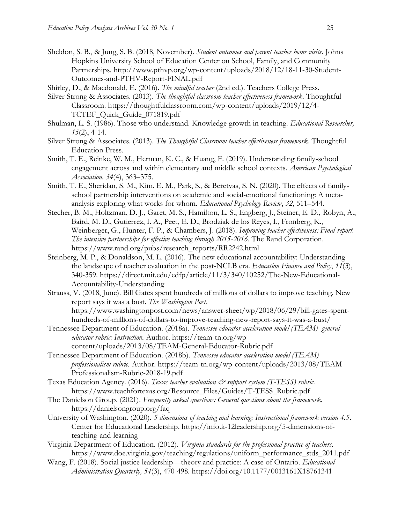- Sheldon, S. B., & Jung, S. B. (2018, November). *Student outcomes and parent teacher home visits*. Johns Hopkins University School of Education Center on School, Family, and Community Partnerships. http://www.pthvp.org/wp-content/uploads/2018/12/18-11-30-Student-Outcomes-and-PTHV-Report-FINAL.pdf
- Shirley, D., & Macdonald, E. (2016). *The mindful teacher* (2nd ed.). Teachers College Press.
- Silver Strong & Associates. (2013). *The thoughtful classroom teacher effectiveness framework.* Thoughtful Classroom. https://thoughtfulclassroom.com/wp-content/uploads/2019/12/4- TCTEF\_Quick\_Guide\_071819.pdf
- Shulman, L. S. (1986). Those who understand. Knowledge growth in teaching. *Educational Researcher, 15*(2), 4-14.
- Silver Strong & Associates. (2013). *The Thoughtful Classroom teacher effectiveness framework*. Thoughtful Education Press.
- Smith, T. E., Reinke, W. M., Herman, K. C., & Huang, F. (2019). Understanding family-school engagement across and within elementary and middle school contexts. *American Psychological Association, 34*(4), 363–375.
- Smith, T. E., Sheridan, S. M., Kim. E. M., Park, S., & Beretvas, S. N. (2020). The effects of familyschool partnership interventions on academic and social-emotional functioning: A metaanalysis exploring what works for whom. *Educational Psychology Review*, *32*, 511–544.
- Stecher, B. M., Holtzman, D. J., Garet, M. S., Hamilton, L. S., Engberg, J., Steiner, E. D., Robyn, A., Baird, M. D., Gutierrez, I. A., Peet, E. D., Brodziak de los Reyes, I., Fronberg, K., Weinberger, G., Hunter, F. P., & Chambers, J. (2018). *Improving teacher effectiveness: Final report. The intensive partnerships for effective teaching through 2015-2016*. The Rand Corporation. https://www.rand.org/pubs/research\_reports/RR2242.html
- Steinberg, M. P., & Donaldson, M. L. (2016). The new educational accountability: Understanding the landscape of teacher evaluation in the post-NCLB era. *Education Finance and Policy*, *11*(3), 340-359. https://direct.mit.edu/edfp/article/11/3/340/10252/The-New-Educational-Accountability-Understanding
- Strauss, V. (2018, June). Bill Gates spent hundreds of millions of dollars to improve teaching. New report says it was a bust. *The Washington Post*. https://www.washingtonpost.com/news/answer-sheet/wp/2018/06/29/bill-gates-spenthundreds-of-millions-of-dollars-to-improve-teaching-new-report-says-it-was-a-bust/
- Tennessee Department of Education. (2018a). *Tennessee educator acceleration model (TEAM) general educator rubric: Instruction.* Author. https://team-tn.org/wpcontent/uploads/2013/08/TEAM-General-Educator-Rubric.pdf
- Tennessee Department of Education. (2018b). *Tennessee educator acceleration model (TEAM) professionalism rubric.* Author. https://team-tn.org/wp-content/uploads/2013/08/TEAM-Professionalism-Rubric-2018-19.pdf
- Texas Education Agency. (2016). *Texas teacher evaluation & support system (T-TESS) rubric.* https://www.teachfortexas.org/Resource\_Files/Guides/T-TESS\_Rubric.pdf
- The Danielson Group. (2021). *Frequently asked questions: General questions about the framework*. https://danielsongroup.org/faq
- University of Washington. (2020). *5 dimensions of teaching and learning: Instructional framework version 4.5*. Center for Educational Leadership. https://info.k-12leadership.org/5-dimensions-ofteaching-and-learning
- Virginia Department of Education. (2012). *Virginia standards for the professional practice of teachers.* https://www.doe.virginia.gov/teaching/regulations/uniform\_performance\_stds\_2011.pdf
- Wang, F. (2018). Social justice leadership—theory and practice: A case of Ontario. *Educational Administration Quarterly, 54*(3), 470-498. https://doi.org/10.1177/0013161X18761341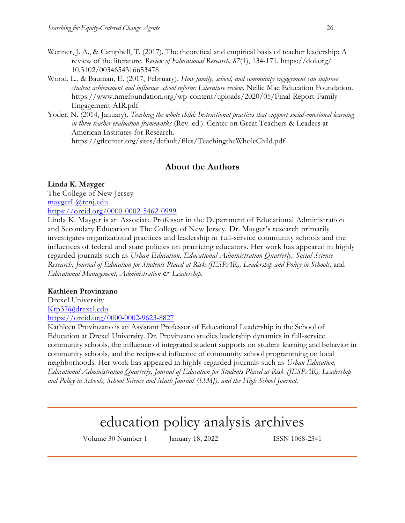- Wenner, J. A., & Campbell, T. (2017). The theoretical and empirical basis of teacher leadership: A review of the literature. *Review of Educational Research, 87*(1), 134-171. https://doi.org/ 10.3102/0034654316653478
- Wood, L., & Bauman, E. (2017, February). *How family, school, and community engagement can improve student achievement and influence school reform: Literature review*. Nellie Mae Education Foundation. https://www.nmefoundation.org/wp-content/uploads/2020/05/Final-Report-Family-Engagement-AIR.pdf
- Yoder, N. (2014, January). *Teaching the whole child: Instructional practices that support social-emotional learning in three teacher evaluation frameworks* (Rev. ed.). Center on Great Teachers & Leaders at American Institutes for Research. https://gtlcenter.org/sites/default/files/TeachingtheWholeChild.pdf

# **About the Authors**

# **Linda K. Mayger**

The College of New Jersey [maygerL@tcnj.edu](mailto:maygerL@tcnj.edu) <https://orcid.org/0000-0002-5462-0999>

Linda K. Mayger is an Associate Professor in the Department of Educational Administration and Secondary Education at The College of New Jersey. Dr. Mayger's research primarily investigates organizational practices and leadership in full-service community schools and the influences of federal and state policies on practicing educators. Her work has appeared in highly regarded journals such as *Urban Education, Educational Administration Quarterly, Social Science Research*, *Journal of Education for Students Placed at Risk (JESPAR), Leadership and Policy in Schools,* and *Educational Management, Administration & Leadership.*

# **Kathleen Provinzano**

Drexel University [Ktp37@drexel.edu](mailto:Ktp37@drexel.edu) <https://orcid.org/0000-0002-9623-8827>

Kathleen Provinzano is an Assistant Professor of Educational Leadership in the School of Education at Drexel University. Dr. Provinzano studies leadership dynamics in full-service community schools, the influence of integrated student supports on student learning and behavior in community schools, and the reciprocal influence of community school programming on local neighborhoods. Her work has appeared in highly regarded journals such as *Urban Education, Educational Administration Quarterly, Journal of Education for Students Placed at Risk (JESPAR), Leadership and Policy in Schools, School Science and Math Journal (SSMJ), and the High School Journal.* 

# education policy analysis archives

Volume 30 Number 1 January 18, 2022 ISSN 1068-2341